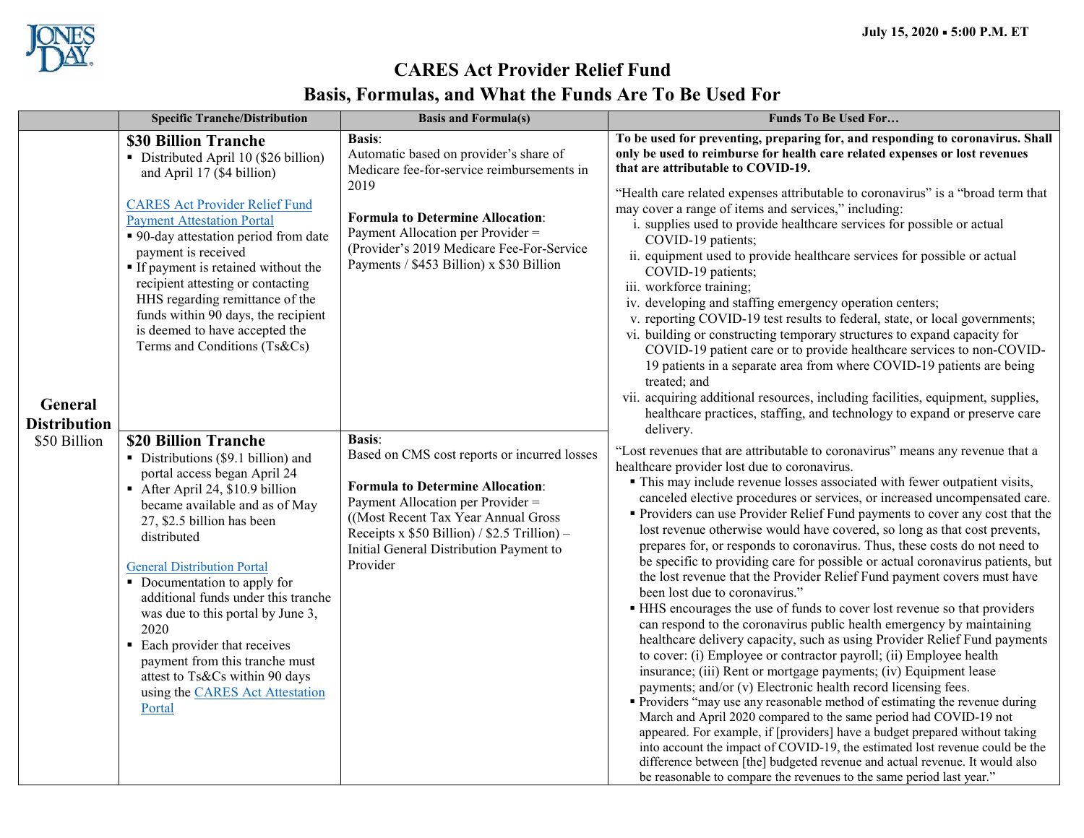

## **CARES Act Provider Relief Fund Basis, Formulas, and What the Funds Are To Be Used For**

|                                                | <b>Specific Tranche/Distribution</b>                                                                                                                                                                                                                                                                                                                                                                                                                                                                                                                                                                                                                                                                                                                                                                                                                                                                                                                                                                | <b>Basis and Formula(s)</b>                                                                                                                                                                                                                                                                                                                                                                                                                                                                                                                                                              | <b>Funds To Be Used For</b>                                                                                                                                                                                                                                                                                                                                                                                                                                                                                                                                                                                                                                                                                                                                                                                                                                                                                                                                                                                                                                                                                                                                                                                                                                                                                                                                                                                                                                                                                                                                                                                                                                                                                                                                                                                                                                                                                                                                                                                                                                                                                                                                                                                                                                                                                                                                                                                                                                                                                                                                                                                                                                                                                                                                                                                        |
|------------------------------------------------|-----------------------------------------------------------------------------------------------------------------------------------------------------------------------------------------------------------------------------------------------------------------------------------------------------------------------------------------------------------------------------------------------------------------------------------------------------------------------------------------------------------------------------------------------------------------------------------------------------------------------------------------------------------------------------------------------------------------------------------------------------------------------------------------------------------------------------------------------------------------------------------------------------------------------------------------------------------------------------------------------------|------------------------------------------------------------------------------------------------------------------------------------------------------------------------------------------------------------------------------------------------------------------------------------------------------------------------------------------------------------------------------------------------------------------------------------------------------------------------------------------------------------------------------------------------------------------------------------------|--------------------------------------------------------------------------------------------------------------------------------------------------------------------------------------------------------------------------------------------------------------------------------------------------------------------------------------------------------------------------------------------------------------------------------------------------------------------------------------------------------------------------------------------------------------------------------------------------------------------------------------------------------------------------------------------------------------------------------------------------------------------------------------------------------------------------------------------------------------------------------------------------------------------------------------------------------------------------------------------------------------------------------------------------------------------------------------------------------------------------------------------------------------------------------------------------------------------------------------------------------------------------------------------------------------------------------------------------------------------------------------------------------------------------------------------------------------------------------------------------------------------------------------------------------------------------------------------------------------------------------------------------------------------------------------------------------------------------------------------------------------------------------------------------------------------------------------------------------------------------------------------------------------------------------------------------------------------------------------------------------------------------------------------------------------------------------------------------------------------------------------------------------------------------------------------------------------------------------------------------------------------------------------------------------------------------------------------------------------------------------------------------------------------------------------------------------------------------------------------------------------------------------------------------------------------------------------------------------------------------------------------------------------------------------------------------------------------------------------------------------------------------------------------------------------------|
| General<br><b>Distribution</b><br>\$50 Billion | \$30 Billion Tranche<br>• Distributed April 10 (\$26 billion)<br>and April 17 (\$4 billion)<br><b>CARES Act Provider Relief Fund</b><br><b>Payment Attestation Portal</b><br>• 90-day attestation period from date<br>payment is received<br>If payment is retained without the<br>recipient attesting or contacting<br>HHS regarding remittance of the<br>funds within 90 days, the recipient<br>is deemed to have accepted the<br>Terms and Conditions (Ts&Cs)<br>\$20 Billion Tranche<br>• Distributions (\$9.1 billion) and<br>portal access began April 24<br>After April 24, \$10.9 billion<br>became available and as of May<br>27, \$2.5 billion has been<br>distributed<br><b>General Distribution Portal</b><br>• Documentation to apply for<br>additional funds under this tranche<br>was due to this portal by June 3,<br>2020<br>• Each provider that receives<br>payment from this tranche must<br>attest to Ts&Cs within 90 days<br>using the <b>CARES</b> Act Attestation<br>Portal | <b>Basis:</b><br>Automatic based on provider's share of<br>Medicare fee-for-service reimbursements in<br>2019<br><b>Formula to Determine Allocation:</b><br>Payment Allocation per Provider =<br>(Provider's 2019 Medicare Fee-For-Service<br>Payments / \$453 Billion) x \$30 Billion<br><b>Basis:</b><br>Based on CMS cost reports or incurred losses<br><b>Formula to Determine Allocation:</b><br>Payment Allocation per Provider =<br>((Most Recent Tax Year Annual Gross)<br>Receipts x $$50$ Billion) / $$2.5$ Trillion) –<br>Initial General Distribution Payment to<br>Provider | To be used for preventing, preparing for, and responding to coronavirus. Shall<br>only be used to reimburse for health care related expenses or lost revenues<br>that are attributable to COVID-19.<br>"Health care related expenses attributable to coronavirus" is a "broad term that<br>may cover a range of items and services," including:<br>i. supplies used to provide healthcare services for possible or actual<br>COVID-19 patients;<br>ii. equipment used to provide healthcare services for possible or actual<br>COVID-19 patients;<br>iii. workforce training;<br>iv. developing and staffing emergency operation centers;<br>v. reporting COVID-19 test results to federal, state, or local governments;<br>vi. building or constructing temporary structures to expand capacity for<br>COVID-19 patient care or to provide healthcare services to non-COVID-<br>19 patients in a separate area from where COVID-19 patients are being<br>treated; and<br>vii. acquiring additional resources, including facilities, equipment, supplies,<br>healthcare practices, staffing, and technology to expand or preserve care<br>delivery.<br>"Lost revenues that are attributable to coronavirus" means any revenue that a<br>healthcare provider lost due to coronavirus.<br>• This may include revenue losses associated with fewer outpatient visits,<br>canceled elective procedures or services, or increased uncompensated care.<br>• Providers can use Provider Relief Fund payments to cover any cost that the<br>lost revenue otherwise would have covered, so long as that cost prevents,<br>prepares for, or responds to coronavirus. Thus, these costs do not need to<br>be specific to providing care for possible or actual coronavirus patients, but<br>the lost revenue that the Provider Relief Fund payment covers must have<br>been lost due to coronavirus."<br>• HHS encourages the use of funds to cover lost revenue so that providers<br>can respond to the coronavirus public health emergency by maintaining<br>healthcare delivery capacity, such as using Provider Relief Fund payments<br>to cover: (i) Employee or contractor payroll; (ii) Employee health<br>insurance; (iii) Rent or mortgage payments; (iv) Equipment lease<br>payments; and/or (v) Electronic health record licensing fees.<br>• Providers "may use any reasonable method of estimating the revenue during<br>March and April 2020 compared to the same period had COVID-19 not<br>appeared. For example, if [providers] have a budget prepared without taking<br>into account the impact of COVID-19, the estimated lost revenue could be the<br>difference between [the] budgeted revenue and actual revenue. It would also<br>be reasonable to compare the revenues to the same period last year." |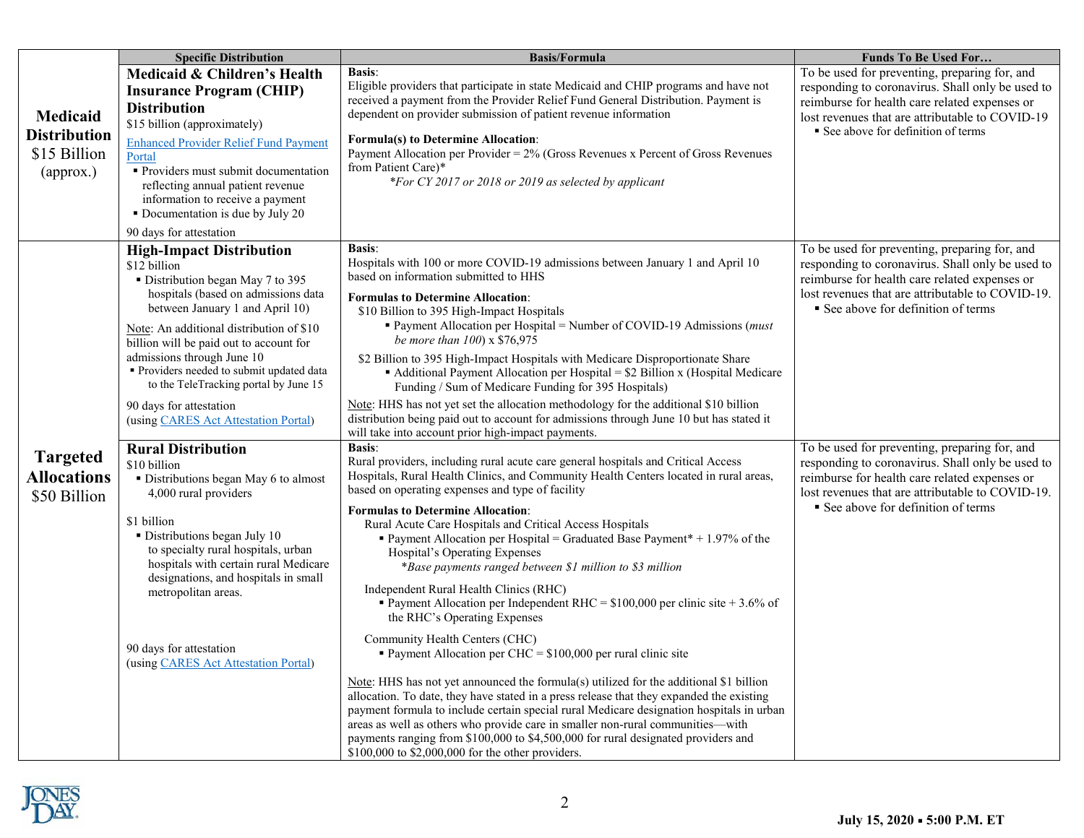|                                                              | <b>Specific Distribution</b>                                                                                                                                                                                                                                                                                                                                                                                                               | <b>Basis/Formula</b>                                                                                                                                                                                                                                                                                                                                                                                                                                                                                                                                                                                                                                                                                                                                                                                                                                                                                                                                                                                                                                                                                                                                                                                                                                                                                         | <b>Funds To Be Used For</b>                                                                                                                                                                                                                   |
|--------------------------------------------------------------|--------------------------------------------------------------------------------------------------------------------------------------------------------------------------------------------------------------------------------------------------------------------------------------------------------------------------------------------------------------------------------------------------------------------------------------------|--------------------------------------------------------------------------------------------------------------------------------------------------------------------------------------------------------------------------------------------------------------------------------------------------------------------------------------------------------------------------------------------------------------------------------------------------------------------------------------------------------------------------------------------------------------------------------------------------------------------------------------------------------------------------------------------------------------------------------------------------------------------------------------------------------------------------------------------------------------------------------------------------------------------------------------------------------------------------------------------------------------------------------------------------------------------------------------------------------------------------------------------------------------------------------------------------------------------------------------------------------------------------------------------------------------|-----------------------------------------------------------------------------------------------------------------------------------------------------------------------------------------------------------------------------------------------|
| Medicaid<br><b>Distribution</b><br>\$15 Billion<br>(approx.) | Medicaid & Children's Health<br><b>Insurance Program (CHIP)</b><br><b>Distribution</b><br>\$15 billion (approximately)<br><b>Enhanced Provider Relief Fund Payment</b><br>Portal<br>Providers must submit documentation<br>reflecting annual patient revenue<br>information to receive a payment<br>• Documentation is due by July 20<br>90 days for attestation                                                                           | <b>Basis:</b><br>Eligible providers that participate in state Medicaid and CHIP programs and have not<br>received a payment from the Provider Relief Fund General Distribution. Payment is<br>dependent on provider submission of patient revenue information<br><b>Formula(s) to Determine Allocation:</b><br>Payment Allocation per Provider = 2% (Gross Revenues x Percent of Gross Revenues<br>from Patient Care)*<br>*For CY 2017 or 2018 or 2019 as selected by applicant                                                                                                                                                                                                                                                                                                                                                                                                                                                                                                                                                                                                                                                                                                                                                                                                                              | To be used for preventing, preparing for, and<br>responding to coronavirus. Shall only be used to<br>reimburse for health care related expenses or<br>lost revenues that are attributable to COVID-19<br>■ See above for definition of terms  |
|                                                              | <b>High-Impact Distribution</b><br>\$12 billion<br>• Distribution began May 7 to 395<br>hospitals (based on admissions data<br>between January 1 and April 10)<br>Note: An additional distribution of \$10<br>billion will be paid out to account for<br>admissions through June 10<br>Providers needed to submit updated data<br>to the TeleTracking portal by June 15<br>90 days for attestation<br>(using CARES Act Attestation Portal) | <b>Basis:</b><br>Hospitals with 100 or more COVID-19 admissions between January 1 and April 10<br>based on information submitted to HHS<br><b>Formulas to Determine Allocation:</b><br>\$10 Billion to 395 High-Impact Hospitals<br>Payment Allocation per Hospital = Number of COVID-19 Admissions (must<br>be more than 100) x \$76,975<br>\$2 Billion to 395 High-Impact Hospitals with Medicare Disproportionate Share<br>• Additional Payment Allocation per Hospital = \$2 Billion x (Hospital Medicare<br>Funding / Sum of Medicare Funding for 395 Hospitals)<br>Note: HHS has not yet set the allocation methodology for the additional \$10 billion<br>distribution being paid out to account for admissions through June 10 but has stated it<br>will take into account prior high-impact payments.                                                                                                                                                                                                                                                                                                                                                                                                                                                                                               | To be used for preventing, preparing for, and<br>responding to coronavirus. Shall only be used to<br>reimburse for health care related expenses or<br>lost revenues that are attributable to COVID-19.<br>■ See above for definition of terms |
| <b>Targeted</b><br><b>Allocations</b><br>\$50 Billion        | <b>Rural Distribution</b><br>\$10 billion<br>• Distributions began May 6 to almost<br>4,000 rural providers<br>\$1 billion<br>· Distributions began July 10<br>to specialty rural hospitals, urban<br>hospitals with certain rural Medicare<br>designations, and hospitals in small<br>metropolitan areas.<br>90 days for attestation<br>(using CARES Act Attestation Portal)                                                              | <b>Basis:</b><br>Rural providers, including rural acute care general hospitals and Critical Access<br>Hospitals, Rural Health Clinics, and Community Health Centers located in rural areas,<br>based on operating expenses and type of facility<br><b>Formulas to Determine Allocation:</b><br>Rural Acute Care Hospitals and Critical Access Hospitals<br>Payment Allocation per Hospital = Graduated Base Payment* + 1.97% of the<br>Hospital's Operating Expenses<br>*Base payments ranged between \$1 million to \$3 million<br>Independent Rural Health Clinics (RHC)<br>Payment Allocation per Independent RHC = $$100,000$ per clinic site + 3.6% of<br>the RHC's Operating Expenses<br>Community Health Centers (CHC)<br>Payment Allocation per CHC = $$100,000$ per rural clinic site<br>Note: HHS has not yet announced the formula(s) utilized for the additional \$1 billion<br>allocation. To date, they have stated in a press release that they expanded the existing<br>payment formula to include certain special rural Medicare designation hospitals in urban<br>areas as well as others who provide care in smaller non-rural communities-with<br>payments ranging from \$100,000 to \$4,500,000 for rural designated providers and<br>\$100,000 to \$2,000,000 for the other providers. | To be used for preventing, preparing for, and<br>responding to coronavirus. Shall only be used to<br>reimburse for health care related expenses or<br>lost revenues that are attributable to COVID-19.<br>See above for definition of terms   |

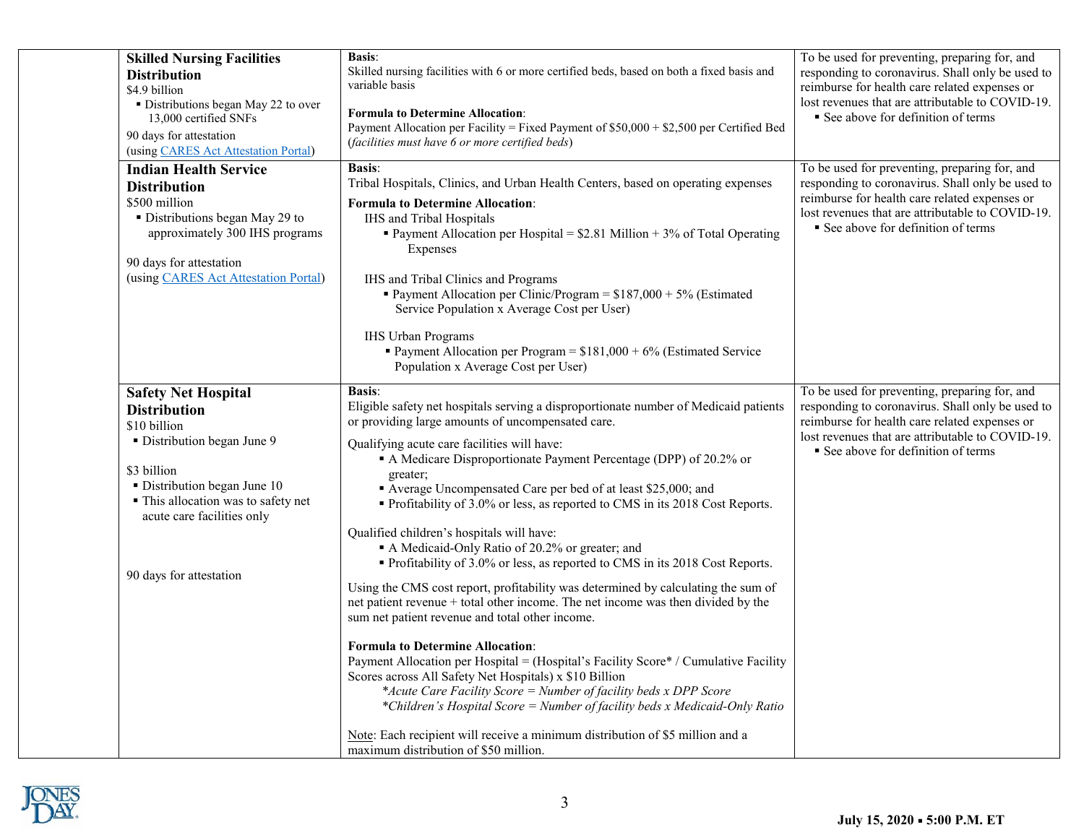| <b>Skilled Nursing Facilities</b><br><b>Distribution</b><br>\$4.9 billion<br>• Distributions began May 22 to over<br>13,000 certified SNFs<br>90 days for attestation<br>(using CARES Act Attestation Portal)                                   | <b>Basis:</b><br>Skilled nursing facilities with 6 or more certified beds, based on both a fixed basis and<br>variable basis<br><b>Formula to Determine Allocation:</b><br>Payment Allocation per Facility = Fixed Payment of \$50,000 + \$2,500 per Certified Bed<br>(facilities must have 6 or more certified beds)                                                                                                                                                                                                                                                                                                                                                                                                                                                                                                                                                                                                                                                                                                                                                                                                                                                                                                                                                                                                          | To be used for preventing, preparing for, and<br>responding to coronavirus. Shall only be used to<br>reimburse for health care related expenses or<br>lost revenues that are attributable to COVID-19.<br>See above for definition of terms |
|-------------------------------------------------------------------------------------------------------------------------------------------------------------------------------------------------------------------------------------------------|--------------------------------------------------------------------------------------------------------------------------------------------------------------------------------------------------------------------------------------------------------------------------------------------------------------------------------------------------------------------------------------------------------------------------------------------------------------------------------------------------------------------------------------------------------------------------------------------------------------------------------------------------------------------------------------------------------------------------------------------------------------------------------------------------------------------------------------------------------------------------------------------------------------------------------------------------------------------------------------------------------------------------------------------------------------------------------------------------------------------------------------------------------------------------------------------------------------------------------------------------------------------------------------------------------------------------------|---------------------------------------------------------------------------------------------------------------------------------------------------------------------------------------------------------------------------------------------|
| <b>Indian Health Service</b><br><b>Distribution</b><br>\$500 million<br>• Distributions began May 29 to<br>approximately 300 IHS programs<br>90 days for attestation<br>(using CARES Act Attestation Portal)                                    | <b>Basis:</b><br>Tribal Hospitals, Clinics, and Urban Health Centers, based on operating expenses<br><b>Formula to Determine Allocation:</b><br>IHS and Tribal Hospitals<br>• Payment Allocation per Hospital = $$2.81$ Million + 3% of Total Operating<br>Expenses<br>IHS and Tribal Clinics and Programs<br>Payment Allocation per Clinic/Program = $$187,000 + 5\%$ (Estimated<br>Service Population x Average Cost per User)<br><b>IHS Urban Programs</b><br>Payment Allocation per Program = $$181,000 + 6%$ (Estimated Service<br>Population x Average Cost per User)                                                                                                                                                                                                                                                                                                                                                                                                                                                                                                                                                                                                                                                                                                                                                    | To be used for preventing, preparing for, and<br>responding to coronavirus. Shall only be used to<br>reimburse for health care related expenses or<br>lost revenues that are attributable to COVID-19.<br>See above for definition of terms |
| <b>Safety Net Hospital</b><br><b>Distribution</b><br>\$10 billion<br>• Distribution began June 9<br>\$3 billion<br>· Distribution began June 10<br>· This allocation was to safety net<br>acute care facilities only<br>90 days for attestation | <b>Basis:</b><br>Eligible safety net hospitals serving a disproportionate number of Medicaid patients<br>or providing large amounts of uncompensated care.<br>Qualifying acute care facilities will have:<br>A Medicare Disproportionate Payment Percentage (DPP) of 20.2% or<br>greater;<br>Average Uncompensated Care per bed of at least \$25,000; and<br>• Profitability of 3.0% or less, as reported to CMS in its 2018 Cost Reports.<br>Qualified children's hospitals will have:<br>A Medicaid-Only Ratio of 20.2% or greater; and<br>• Profitability of 3.0% or less, as reported to CMS in its 2018 Cost Reports.<br>Using the CMS cost report, profitability was determined by calculating the sum of<br>net patient revenue + total other income. The net income was then divided by the<br>sum net patient revenue and total other income.<br><b>Formula to Determine Allocation:</b><br>Payment Allocation per Hospital = (Hospital's Facility Score* / Cumulative Facility<br>Scores across All Safety Net Hospitals) x \$10 Billion<br>*Acute Care Facility Score = Number of facility beds x DPP Score<br>*Children's Hospital Score = Number of facility beds x Medicaid-Only Ratio<br>Note: Each recipient will receive a minimum distribution of \$5 million and a<br>maximum distribution of \$50 million. | To be used for preventing, preparing for, and<br>responding to coronavirus. Shall only be used to<br>reimburse for health care related expenses or<br>lost revenues that are attributable to COVID-19.<br>See above for definition of terms |

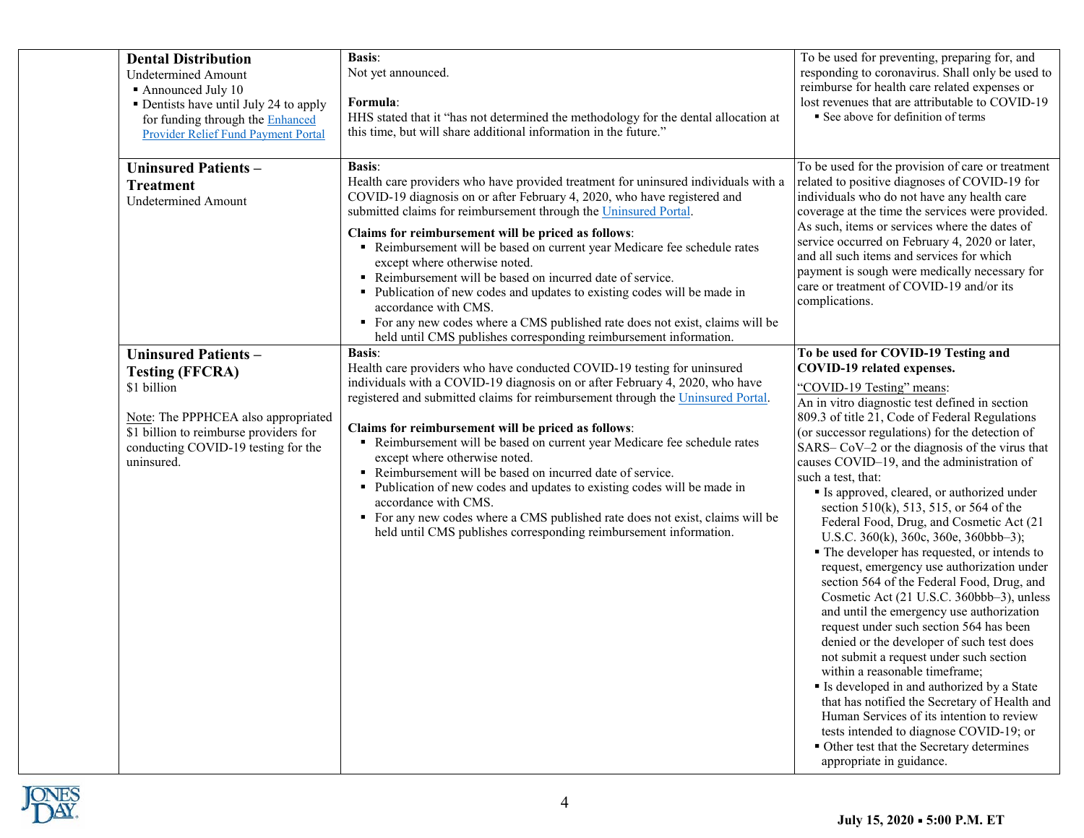| <b>Dental Distribution</b><br><b>Undetermined Amount</b><br>Announced July 10<br>• Dentists have until July 24 to apply<br>for funding through the Enhanced<br>Provider Relief Fund Payment Portal        | <b>Basis:</b><br>Not yet announced.<br>Formula:<br>HHS stated that it "has not determined the methodology for the dental allocation at<br>this time, but will share additional information in the future."                                                                                                                                                                                                                                                                                                                                                                                                                                                                                                                                         | To be used for preventing, preparing for, and<br>responding to coronavirus. Shall only be used to<br>reimburse for health care related expenses or<br>lost revenues that are attributable to COVID-19<br>See above for definition of terms                                                                                                                                                                                                                                                                                                                                                                                                                                                                                                                                                                                                                                                                                                                                                                                                                                                                                                                                                                                                         |
|-----------------------------------------------------------------------------------------------------------------------------------------------------------------------------------------------------------|----------------------------------------------------------------------------------------------------------------------------------------------------------------------------------------------------------------------------------------------------------------------------------------------------------------------------------------------------------------------------------------------------------------------------------------------------------------------------------------------------------------------------------------------------------------------------------------------------------------------------------------------------------------------------------------------------------------------------------------------------|----------------------------------------------------------------------------------------------------------------------------------------------------------------------------------------------------------------------------------------------------------------------------------------------------------------------------------------------------------------------------------------------------------------------------------------------------------------------------------------------------------------------------------------------------------------------------------------------------------------------------------------------------------------------------------------------------------------------------------------------------------------------------------------------------------------------------------------------------------------------------------------------------------------------------------------------------------------------------------------------------------------------------------------------------------------------------------------------------------------------------------------------------------------------------------------------------------------------------------------------------|
| <b>Uninsured Patients -</b><br><b>Treatment</b><br><b>Undetermined Amount</b>                                                                                                                             | <b>Basis:</b><br>Health care providers who have provided treatment for uninsured individuals with a<br>COVID-19 diagnosis on or after February 4, 2020, who have registered and<br>submitted claims for reimbursement through the Uninsured Portal.<br>Claims for reimbursement will be priced as follows:<br>Reimbursement will be based on current year Medicare fee schedule rates<br>except where otherwise noted.<br>Reimbursement will be based on incurred date of service.<br>• Publication of new codes and updates to existing codes will be made in<br>accordance with CMS.<br>• For any new codes where a CMS published rate does not exist, claims will be<br>held until CMS publishes corresponding reimbursement information.       | To be used for the provision of care or treatment<br>related to positive diagnoses of COVID-19 for<br>individuals who do not have any health care<br>coverage at the time the services were provided.<br>As such, items or services where the dates of<br>service occurred on February 4, 2020 or later,<br>and all such items and services for which<br>payment is sough were medically necessary for<br>care or treatment of COVID-19 and/or its<br>complications.                                                                                                                                                                                                                                                                                                                                                                                                                                                                                                                                                                                                                                                                                                                                                                               |
| <b>Uninsured Patients-</b><br><b>Testing (FFCRA)</b><br>\$1 billion<br>Note: The PPPHCEA also appropriated<br>\$1 billion to reimburse providers for<br>conducting COVID-19 testing for the<br>uninsured. | <b>Basis:</b><br>Health care providers who have conducted COVID-19 testing for uninsured<br>individuals with a COVID-19 diagnosis on or after February 4, 2020, who have<br>registered and submitted claims for reimbursement through the Uninsured Portal.<br>Claims for reimbursement will be priced as follows:<br>Reimbursement will be based on current year Medicare fee schedule rates<br>except where otherwise noted.<br>Reimbursement will be based on incurred date of service.<br>• Publication of new codes and updates to existing codes will be made in<br>accordance with CMS.<br>For any new codes where a CMS published rate does not exist, claims will be<br>held until CMS publishes corresponding reimbursement information. | To be used for COVID-19 Testing and<br>COVID-19 related expenses.<br>"COVID-19 Testing" means:<br>An in vitro diagnostic test defined in section<br>809.3 of title 21, Code of Federal Regulations<br>(or successor regulations) for the detection of<br>SARS– CoV–2 or the diagnosis of the virus that<br>causes COVID-19, and the administration of<br>such a test, that:<br>Is approved, cleared, or authorized under<br>section $510(k)$ , 513, 515, or 564 of the<br>Federal Food, Drug, and Cosmetic Act (21<br>U.S.C. $360(k)$ , $360c$ , $360e$ , $360bbb-3$ );<br>• The developer has requested, or intends to<br>request, emergency use authorization under<br>section 564 of the Federal Food, Drug, and<br>Cosmetic Act (21 U.S.C. 360bbb-3), unless<br>and until the emergency use authorization<br>request under such section 564 has been<br>denied or the developer of such test does<br>not submit a request under such section<br>within a reasonable timeframe;<br>Is developed in and authorized by a State<br>that has notified the Secretary of Health and<br>Human Services of its intention to review<br>tests intended to diagnose COVID-19; or<br>• Other test that the Secretary determines<br>appropriate in guidance. |